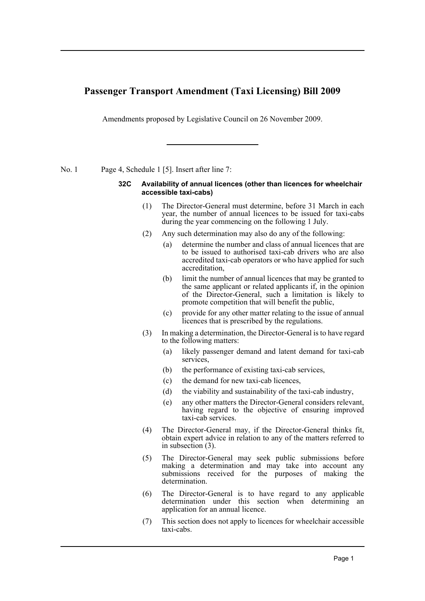## **Passenger Transport Amendment (Taxi Licensing) Bill 2009**

Amendments proposed by Legislative Council on 26 November 2009.

No. 1 Page 4, Schedule 1 [5]. Insert after line 7:

## **32C Availability of annual licences (other than licences for wheelchair accessible taxi-cabs)**

- (1) The Director-General must determine, before 31 March in each year, the number of annual licences to be issued for taxi-cabs during the year commencing on the following 1 July.
- (2) Any such determination may also do any of the following:
	- (a) determine the number and class of annual licences that are to be issued to authorised taxi-cab drivers who are also accredited taxi-cab operators or who have applied for such accreditation,
	- (b) limit the number of annual licences that may be granted to the same applicant or related applicants if, in the opinion of the Director-General, such a limitation is likely to promote competition that will benefit the public,
	- (c) provide for any other matter relating to the issue of annual licences that is prescribed by the regulations.
- (3) In making a determination, the Director-General is to have regard to the following matters:
	- (a) likely passenger demand and latent demand for taxi-cab services,
	- (b) the performance of existing taxi-cab services,
	- (c) the demand for new taxi-cab licences,
	- (d) the viability and sustainability of the taxi-cab industry,
	- (e) any other matters the Director-General considers relevant, having regard to the objective of ensuring improved taxi-cab services.
- (4) The Director-General may, if the Director-General thinks fit, obtain expert advice in relation to any of the matters referred to in subsection (3).
- (5) The Director-General may seek public submissions before making a determination and may take into account any submissions received for the purposes of making the determination.
- (6) The Director-General is to have regard to any applicable determination under this section when determining an application for an annual licence.
- (7) This section does not apply to licences for wheelchair accessible taxi-cabs.